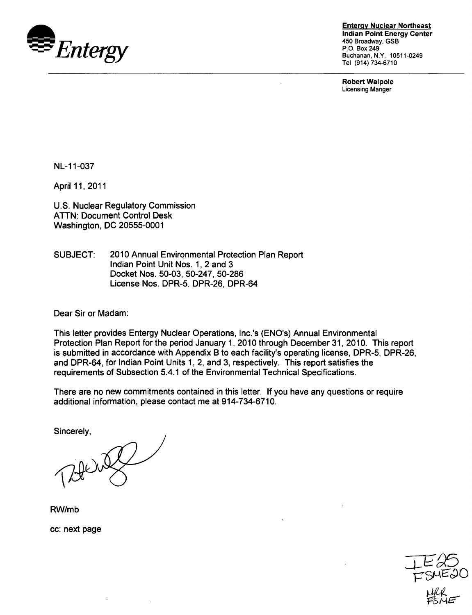

**Entergy Nuclear Northeast** Indian Point Energy Center 450 Broadway, GSB P.O. Box 249 Buchanan, N.Y. 10511-0249 Tel (914) 734-6710

Robert Walpole Licensing Manger

NL-1 1-037

April 11,2011

U.S. Nuclear Regulatory Commission ATTN: Document Control Desk Washington, DC 20555-0001

SUBJECT: 2010 Annual Environmental Protection Plan Report Indian Point Unit Nos. 1, 2 and 3 Docket Nos. 50-03, 50-247, 50-286 License Nos. DPR-5. DPR-26, DPR-64

Dear Sir or Madam:

This letter provides Entergy Nuclear Operations, Inc.'s (ENO's) Annual Environmental Protection Plan Report for the period January 1, 2010 through December 31, 2010. This report is submitted in accordance with Appendix B to each facility's operating license, DPR-5, DPR-26, and DPR-64, for Indian Point Units 1, 2, and 3, respectively. This report satisfies the requirements of Subsection 5.4.1 of the Environmental Technical Specifications.

There are no new commitments contained in this letter. If you have any questions or require additional information, please contact me at 914-734-6710.

Sincerely,

RW/mb

cc: next page

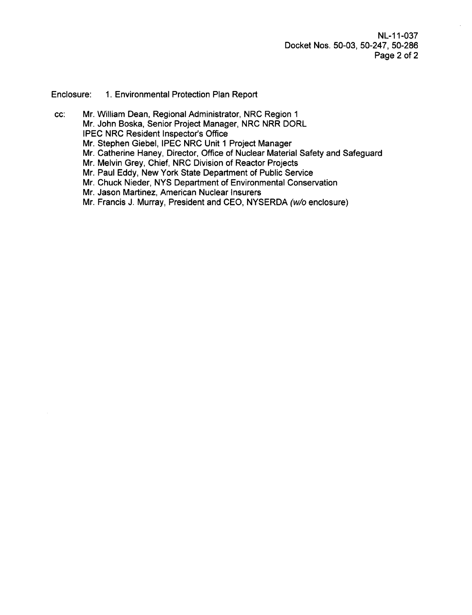NL-1 1-037 Docket Nos. 50-03, 50-247, 50-286 Page 2 of 2

Enclosure: 1. Environmental Protection Plan Report

cc: Mr. William Dean, Regional Administrator, NRC Region 1 Mr. John Boska, Senior Project Manager, NRC NRR DORL IPEC NRC Resident Inspector's Office Mr. Stephen Giebel, IPEC NRC Unit 1 Project Manager Mr. Catherine Haney, Director, Office of Nuclear Material Safety and Safeguard Mr. Melvin Grey, Chief, NRC Division of Reactor Projects Mr. Paul Eddy, New York State Department of Public Service Mr. Chuck Nieder, NYS Department of Environmental Conservation Mr. Jason Martinez, American Nuclear Insurers Mr. Francis J. Murray, President and CEO, NYSERDA (w/o enclosure)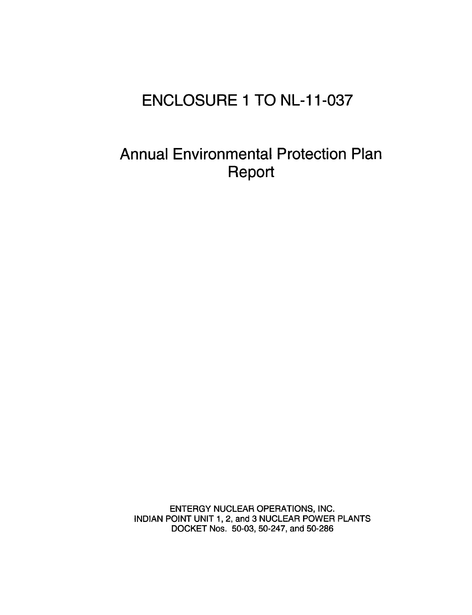# **ENCLOSURE 1** TO **NL-11-037**

# Annual Environmental Protection Plan Report

ENTERGY NUCLEAR OPERATIONS, INC. INDIAN POINT UNIT 1,2, and 3 NUCLEAR POWER PLANTS DOCKET Nos. 50-03, 50-247, and 50-286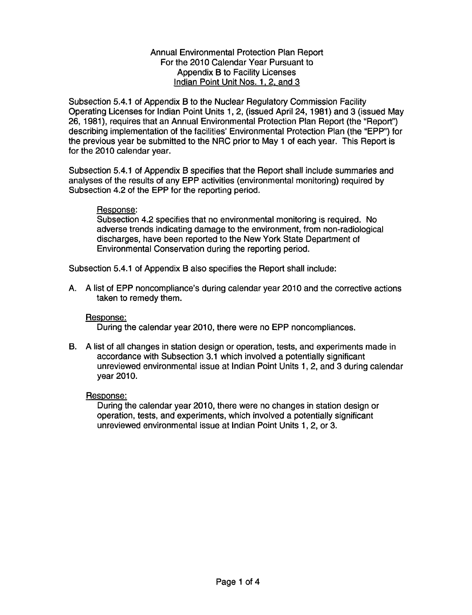#### Annual Environmental Protection Plan Report For the 2010 Calendar Year Pursuant to Appendix B to Facility Licenses Indian Point Unit Nos. **1,** 2, and 3

Subsection 5.4.1 of Appendix B to the Nuclear Regulatory Commission Facility Operating Licenses for Indian Point Units 1, 2, (issued April 24, 1981) and 3 (issued May 26, 1981), requires that an Annual Environmental Protection Plan Report (the "Report") describing implementation of the facilities' Environmental Protection Plan (the "EPP") for the previous year be submitted to the NRC prior to May 1 of each year. This Report is for the 2010 calendar year.

Subsection 5.4.1 of Appendix B specifies that the Report shall include summaries and analyses of the results of any EPP activities (environmental monitoring) required by Subsection 4.2 of the EPP for the reporting period.

#### Response:

Subsection 4.2 specifies that no environmental monitoring is required. No adverse trends indicating damage to the environment, from non-radiological discharges, have been reported to the New York State Department of Environmental Conservation during the reporting period.

Subsection 5.4.1 of Appendix B also specifies the Report shall include:

A. A list of EPP noncompliance's during calendar year 2010 and the corrective actions taken to remedy them.

## Response:

During the calendar year 2010, there were no EPP noncompliances.

B. A list of all changes in station design or operation, tests, and experiments made in accordance with Subsection 3.1 which involved a potentially significant unreviewed environmental issue at Indian Point Units 1, 2, and 3 during calendar year 2010.

#### Response:

During the calendar year 2010, there were no changes in station design or operation, tests, and experiments, which involved a potentially significant unreviewed environmental issue at Indian Point Units 1, 2, or 3.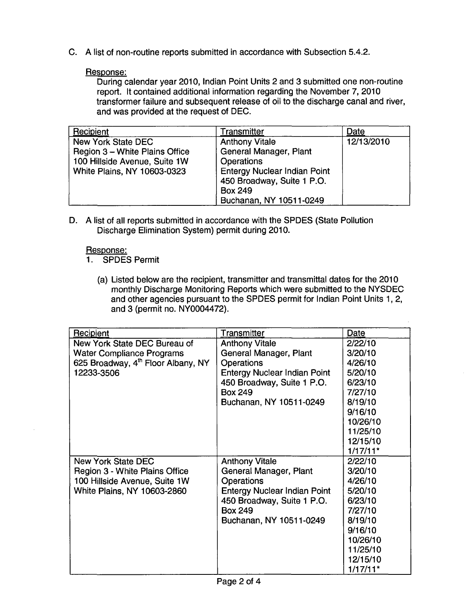C. A list of non-routine reports submitted in accordance with Subsection 5.4.2.

## Response:

During calendar year 2010, Indian Point Units 2 and 3 submitted one non-routine report. It contained additional information regarding the November 7, 2010 transformer failure and subsequent release of oil to the discharge canal and river, and was provided at the request of DEC.

| Recipient                      | Transmitter                         | Date       |
|--------------------------------|-------------------------------------|------------|
| New York State DEC             | <b>Anthony Vitale</b>               | 12/13/2010 |
| Region 3 - White Plains Office | General Manager, Plant              |            |
| 100 Hillside Avenue, Suite 1W  | <b>Operations</b>                   |            |
| White Plains, NY 10603-0323    | <b>Entergy Nuclear Indian Point</b> |            |
|                                | 450 Broadway, Suite 1 P.O.          |            |
|                                | <b>Box 249</b>                      |            |
|                                | Buchanan, NY 10511-0249             |            |

D. A list of all reports submitted in accordance with the SPDES (State Pollution Discharge Elimination System) permit during 2010.

## Response:

- 1. SPDES Permit
	- (a) Listed below are the recipient, transmitter and transmittal dates for the 2010 monthly Discharge Monitoring Reports which were submitted to the NYSDEC and other agencies pursuant to the SPDES permit for Indian Point Units 1, 2, and 3 (permit no. NY0004472).

 $\mathcal{L}$ 

| Recipient                                      | Transmitter                         | Date       |
|------------------------------------------------|-------------------------------------|------------|
| New York State DEC Bureau of                   | <b>Anthony Vitale</b>               | 2/22/10    |
| <b>Water Compliance Programs</b>               | General Manager, Plant              | 3/20/10    |
| 625 Broadway, 4 <sup>th</sup> Floor Albany, NY | <b>Operations</b>                   | 4/26/10    |
| 12233-3506                                     | <b>Entergy Nuclear Indian Point</b> | 5/20/10    |
|                                                | 450 Broadway, Suite 1 P.O.          | 6/23/10    |
|                                                | <b>Box 249</b>                      | 7/27/10    |
|                                                | Buchanan, NY 10511-0249             | 8/19/10    |
|                                                |                                     | 9/16/10    |
|                                                |                                     | 10/26/10   |
|                                                |                                     | 11/25/10   |
|                                                |                                     | 12/15/10   |
|                                                |                                     | $1/17/11*$ |
| <b>New York State DEC</b>                      | <b>Anthony Vitale</b>               | 2/22/10    |
| Region 3 - White Plains Office                 | General Manager, Plant              | 3/20/10    |
| 100 Hillside Avenue, Suite 1W                  | <b>Operations</b>                   | 4/26/10    |
| White Plains, NY 10603-2860                    | <b>Entergy Nuclear Indian Point</b> | 5/20/10    |
|                                                | 450 Broadway, Suite 1 P.O.          | 6/23/10    |
|                                                | <b>Box 249</b>                      | 7/27/10    |
|                                                | Buchanan, NY 10511-0249             | 8/19/10    |
|                                                |                                     | 9/16/10    |
|                                                |                                     | 10/26/10   |
|                                                |                                     | 11/25/10   |
|                                                |                                     | 12/15/10   |
|                                                |                                     | $1/17/11*$ |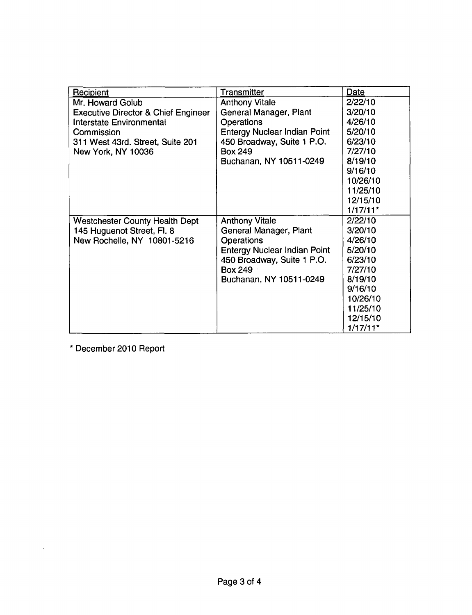| Recipient                                      | Transmitter                         | Date       |
|------------------------------------------------|-------------------------------------|------------|
| Mr. Howard Golub                               | <b>Anthony Vitale</b>               | 2/22/10    |
| <b>Executive Director &amp; Chief Engineer</b> | General Manager, Plant              | 3/20/10    |
| <b>Interstate Environmental</b>                | <b>Operations</b>                   | 4/26/10    |
| Commission                                     | <b>Entergy Nuclear Indian Point</b> | 5/20/10    |
| 311 West 43rd. Street, Suite 201               | 450 Broadway, Suite 1 P.O.          | 6/23/10    |
| New York, NY 10036                             | <b>Box 249</b>                      | 7/27/10    |
|                                                | Buchanan, NY 10511-0249             | 8/19/10    |
|                                                |                                     | 9/16/10    |
|                                                |                                     | 10/26/10   |
|                                                |                                     | 11/25/10   |
|                                                |                                     | 12/15/10   |
|                                                |                                     | $1/17/11*$ |
| <b>Westchester County Health Dept</b>          | <b>Anthony Vitale</b>               | 2/22/10    |
| 145 Huguenot Street, Fl. 8                     | General Manager, Plant              | 3/20/10    |
| New Rochelle, NY 10801-5216                    | <b>Operations</b>                   | 4/26/10    |
|                                                | <b>Entergy Nuclear Indian Point</b> | 5/20/10    |
|                                                | 450 Broadway, Suite 1 P.O.          | 6/23/10    |
|                                                | <b>Box 249</b>                      | 7/27/10    |
|                                                | Buchanan, NY 10511-0249             | 8/19/10    |
|                                                |                                     | 9/16/10    |
|                                                |                                     | 10/26/10   |
|                                                |                                     | 11/25/10   |
|                                                |                                     | 12/15/10   |
|                                                |                                     | $1/17/11*$ |

\* December 2010 Report

 $\hat{\lambda}$